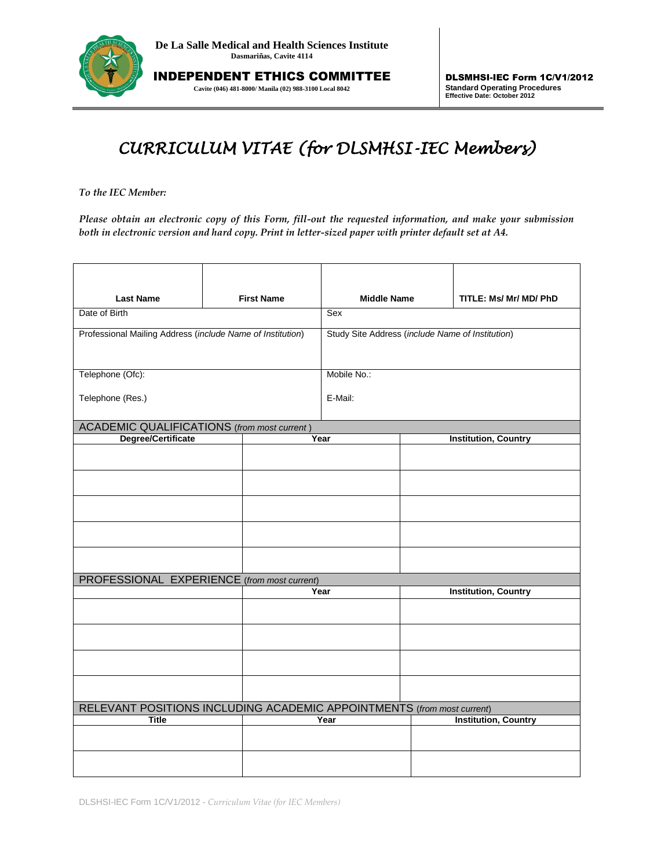

INDEPENDENT ETHICS COMMITTEE **Cavite (046) 481-8000/ Manila (02) 988-3100 Local 8042**

## *CURRICULUM VITAE (for DLSMHSI-IEC Members)*

*To the IEC Member:* 

*Please obtain an electronic copy of this Form, fill-out the requested information, and make your submission both in electronic version and hard copy. Print in letter-sized paper with printer default set at A4.*

| <b>Last Name</b>                                                       |  | <b>First Name</b>                                | <b>Middle Name</b> |                             | TITLE: Ms/ Mr/ MD/ PhD      |  |
|------------------------------------------------------------------------|--|--------------------------------------------------|--------------------|-----------------------------|-----------------------------|--|
| Date of Birth                                                          |  | Sex                                              |                    |                             |                             |  |
| Professional Mailing Address (include Name of Institution)             |  | Study Site Address (include Name of Institution) |                    |                             |                             |  |
|                                                                        |  |                                                  |                    |                             |                             |  |
| Telephone (Ofc):                                                       |  |                                                  | Mobile No.:        |                             |                             |  |
| Telephone (Res.)                                                       |  |                                                  | E-Mail:            |                             |                             |  |
| <b>ACADEMIC QUALIFICATIONS</b> (from most current)                     |  |                                                  |                    |                             |                             |  |
| Degree/Certificate                                                     |  | Year                                             |                    | <b>Institution, Country</b> |                             |  |
|                                                                        |  |                                                  |                    |                             |                             |  |
|                                                                        |  |                                                  |                    |                             |                             |  |
|                                                                        |  |                                                  |                    |                             |                             |  |
|                                                                        |  |                                                  |                    |                             |                             |  |
|                                                                        |  |                                                  |                    |                             |                             |  |
|                                                                        |  |                                                  |                    |                             |                             |  |
| PROFESSIONAL EXPERIENCE (from most current)                            |  |                                                  | Year               |                             | <b>Institution, Country</b> |  |
|                                                                        |  |                                                  |                    |                             |                             |  |
|                                                                        |  |                                                  |                    |                             |                             |  |
|                                                                        |  |                                                  |                    |                             |                             |  |
|                                                                        |  |                                                  |                    |                             |                             |  |
|                                                                        |  |                                                  |                    |                             |                             |  |
| RELEVANT POSITIONS INCLUDING ACADEMIC APPOINTMENTS (from most current) |  |                                                  |                    |                             |                             |  |
| <b>Title</b>                                                           |  |                                                  | Year               |                             | <b>Institution, Country</b> |  |
|                                                                        |  |                                                  |                    |                             |                             |  |
|                                                                        |  |                                                  |                    |                             |                             |  |